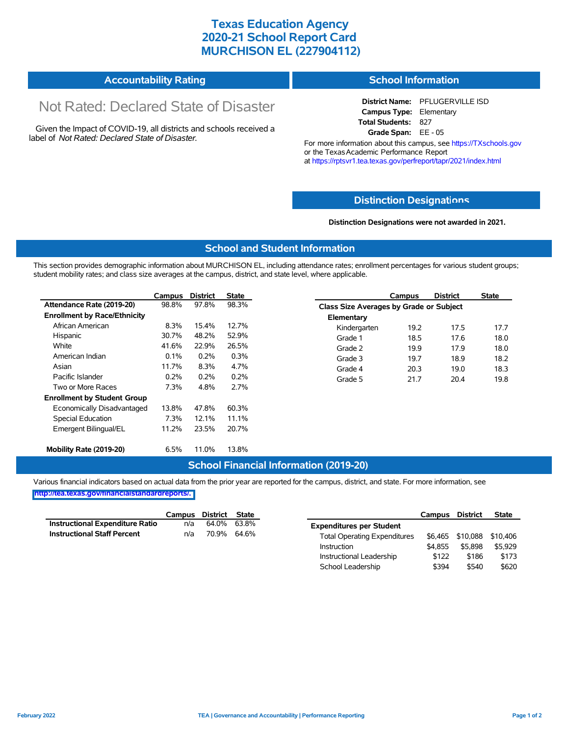## **Texas Education Agency 2020-21 School Report Card MURCHISON EL (227904112)**

| <b>Accountability Rating</b> | <b>School Information</b> |
|------------------------------|---------------------------|
|------------------------------|---------------------------|

# Not Rated: Declared State of Disaster

Given the Impact of COVID-19, all districts and schools received a label of *Not Rated: Declared State of Disaster.*

**District Name:** PFLUGERVILLE ISD **Campus Type:** Elementary **Total Students:** 827 **Grade Span:** EE - 05

For more information about this campus, see https://TXschools.gov or the Texas Academic Performance Report at https://rptsvr1.tea.texas.gov/perfreport/tapr/2021/index.html

#### **Distinction Designat[ions](https://TXschools.gov)**

**Distinction Designations were not awarded in 2021.**

School Leadership  $$394$  \$540 \$620

#### **School and Student Information**

This section provides demographic information about MURCHISON EL, including attendance rates; enrollment percentages for various student groups; student mobility rates; and class size averages at the campus, district, and state level, where applicable.

|                                     | Campus | <b>District</b> | State |              | Campus                                  | <b>District</b> | <b>State</b> |  |  |
|-------------------------------------|--------|-----------------|-------|--------------|-----------------------------------------|-----------------|--------------|--|--|
| Attendance Rate (2019-20)           | 98.8%  | 97.8%           | 98.3% |              | Class Size Averages by Grade or Subject |                 |              |  |  |
| <b>Enrollment by Race/Ethnicity</b> |        |                 |       | Elementary   |                                         |                 |              |  |  |
| African American                    | 8.3%   | 15.4%           | 12.7% | Kindergarten | 19.2                                    | 17.5            | 17.7         |  |  |
| Hispanic                            | 30.7%  | 48.2%           | 52.9% | Grade 1      | 18.5                                    | 17.6            | 18.0         |  |  |
| White                               | 41.6%  | 22.9%           | 26.5% | Grade 2      | 19.9                                    | 17.9            | 18.0         |  |  |
| American Indian                     | 0.1%   | 0.2%            | 0.3%  | Grade 3      | 19.7                                    | 18.9            | 18.2         |  |  |
| Asian                               | 11.7%  | 8.3%            | 4.7%  | Grade 4      | 20.3                                    | 19.0            | 18.3         |  |  |
| Pacific Islander                    | 0.2%   | 0.2%            | 0.2%  | Grade 5      | 21.7                                    | 20.4            | 19.8         |  |  |
| Two or More Races                   | 7.3%   | 4.8%            | 2.7%  |              |                                         |                 |              |  |  |
| <b>Enrollment by Student Group</b>  |        |                 |       |              |                                         |                 |              |  |  |
| Economically Disadvantaged          | 13.8%  | 47.8%           | 60.3% |              |                                         |                 |              |  |  |
| Special Education                   | 7.3%   | 12.1%           | 11.1% |              |                                         |                 |              |  |  |
| Emergent Bilingual/EL               | 11.2%  | 23.5%           | 20.7% |              |                                         |                 |              |  |  |
|                                     |        |                 |       |              |                                         |                 |              |  |  |
| Mobility Rate (2019-20)             | 6.5%   | 11.0%           | 13.8% |              |                                         |                 |              |  |  |

#### **School Financial Information (2019-20)**

Various financial indicators based on actual data from the prior year are reported for the campus, district, and state. For more information, see

**[http://tea.texas.gov/financialstandardreports/.](http://tea.texas.gov/financialstandardreports/)**

|                                        | Campus | District | State       |                                     | Campus  | <b>District</b>  | <b>State</b> |
|----------------------------------------|--------|----------|-------------|-------------------------------------|---------|------------------|--------------|
| <b>Instructional Expenditure Ratio</b> | n/a    | 64.0%    | 63.8%       | <b>Expenditures per Student</b>     |         |                  |              |
| <b>Instructional Staff Percent</b>     | n/a    |          | 70.9% 64.6% | <b>Total Operating Expenditures</b> |         | \$6.465 \$10.088 | \$10.406     |
|                                        |        |          |             | Instruction                         | \$4.855 | \$5.898          | \$5.929      |
|                                        |        |          |             | Instructional Leadership            | \$122   | \$186            | \$173        |